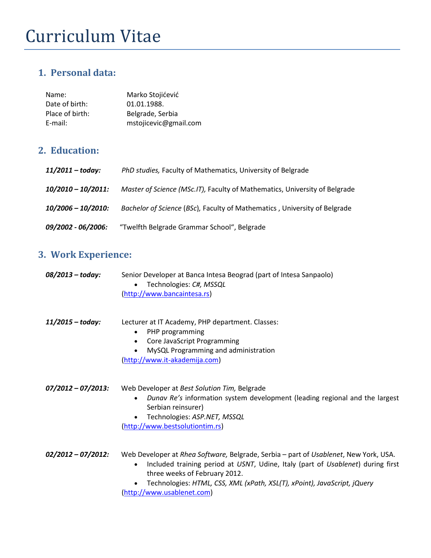# Curriculum Vitae

### **1. Personal data:**

| Name:           | Marko Stojićević      |
|-----------------|-----------------------|
| Date of birth:  | 01.01.1988.           |
| Place of birth: | Belgrade, Serbia      |
| E-mail:         | mstojicevic@gmail.com |

## **2. Education:**

| 11/2011 – today:          | PhD studies, Faculty of Mathematics, University of Belgrade                |
|---------------------------|----------------------------------------------------------------------------|
| 10/2010 - 10/2011:        | Master of Science (MSc.IT), Faculty of Mathematics, University of Belgrade |
| 10/2006 - 10/2010:        | Bachelor of Science (BSc), Faculty of Mathematics, University of Belgrade  |
| <i>09/2002 - 06/2006:</i> | "Twelfth Belgrade Grammar School", Belgrade                                |

# **3. Work Experience:**

| 08/2013 - today:      | Senior Developer at Banca Intesa Beograd (part of Intesa Sanpaolo)<br>Technologies: C#, MSSQL<br>$\bullet$<br>(http://www.bancaintesa.rs)                                                                                                                                                                                       |
|-----------------------|---------------------------------------------------------------------------------------------------------------------------------------------------------------------------------------------------------------------------------------------------------------------------------------------------------------------------------|
| $11/2015 - today:$    | Lecturer at IT Academy, PHP department. Classes:<br>PHP programming<br>٠<br>Core JavaScript Programming<br>$\bullet$<br>MySQL Programming and administration<br>$\bullet$<br>(http://www.it-akademija.com)                                                                                                                      |
| $07/2012 - 07/2013$ : | Web Developer at Best Solution Tim, Belgrade<br>Dunav Re's information system development (leading regional and the largest<br>$\bullet$<br>Serbian reinsurer)<br>Technologies: ASP.NET, MSSQL<br>$\bullet$<br>(http://www.bestsolutiontim.rs)                                                                                  |
| $02/2012 - 07/2012$ : | Web Developer at Rhea Software, Belgrade, Serbia - part of Usablenet, New York, USA.<br>Included training period at USNT, Udine, Italy (part of Usablenet) during first<br>$\bullet$<br>three weeks of February 2012.<br>Technologies: HTML, CSS, XML (xPath, XSL(T), xPoint), JavaScript, jQuery<br>(http://www.usablenet.com) |